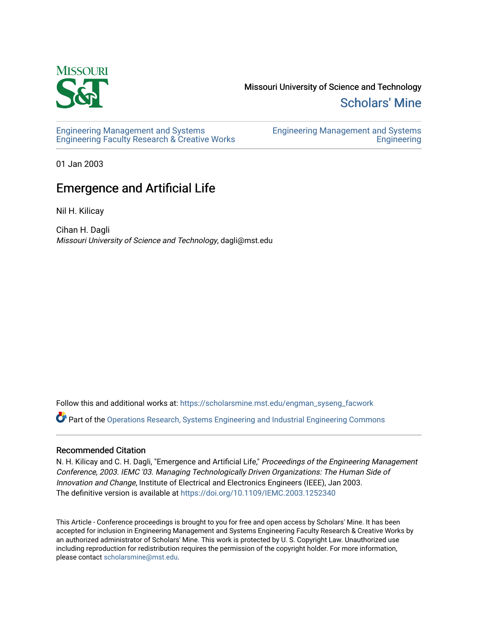

Missouri University of Science and Technology [Scholars' Mine](https://scholarsmine.mst.edu/) 

[Engineering Management and Systems](https://scholarsmine.mst.edu/engman_syseng_facwork)  [Engineering Faculty Research & Creative Works](https://scholarsmine.mst.edu/engman_syseng_facwork) [Engineering Management and Systems](https://scholarsmine.mst.edu/engman_syseng)  **Engineering** 

01 Jan 2003

# Emergence and Artificial Life

Nil H. Kilicay

Cihan H. Dagli Missouri University of Science and Technology, dagli@mst.edu

Follow this and additional works at: [https://scholarsmine.mst.edu/engman\\_syseng\\_facwork](https://scholarsmine.mst.edu/engman_syseng_facwork?utm_source=scholarsmine.mst.edu%2Fengman_syseng_facwork%2F253&utm_medium=PDF&utm_campaign=PDFCoverPages) 

 $\bullet$  Part of the [Operations Research, Systems Engineering and Industrial Engineering Commons](http://network.bepress.com/hgg/discipline/305?utm_source=scholarsmine.mst.edu%2Fengman_syseng_facwork%2F253&utm_medium=PDF&utm_campaign=PDFCoverPages)

## Recommended Citation

N. H. Kilicay and C. H. Dagli, "Emergence and Artificial Life," Proceedings of the Engineering Management Conference, 2003. IEMC '03. Managing Technologically Driven Organizations: The Human Side of Innovation and Change, Institute of Electrical and Electronics Engineers (IEEE), Jan 2003. The definitive version is available at <https://doi.org/10.1109/IEMC.2003.1252340>

This Article - Conference proceedings is brought to you for free and open access by Scholars' Mine. It has been accepted for inclusion in Engineering Management and Systems Engineering Faculty Research & Creative Works by an authorized administrator of Scholars' Mine. This work is protected by U. S. Copyright Law. Unauthorized use including reproduction for redistribution requires the permission of the copyright holder. For more information, please contact [scholarsmine@mst.edu.](mailto:scholarsmine@mst.edu)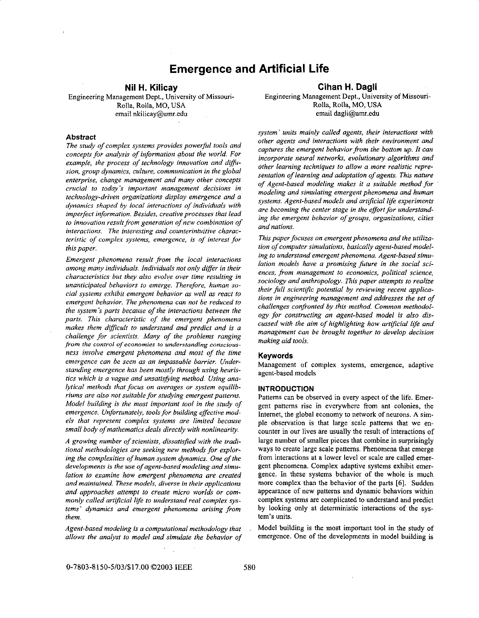# **Emergence and Artificial Life**

**Nil H. Kilicay** 

Engineering Management Dept., University **of** Missouri. Rolla, Rolla, MO, USA email [nkilicay@umr.edu](mailto:nkilicay@umr.edu)

#### *Abstract*

*The study of complex systems provides powerful tools and concepts for analysis of information about the world. For example, the process of technology innovation and diffusion, group dynamics, culture, communication in the global enterprise, change management and many other concepts crucial to today's important management decisions in technology-driven organizations display emergence and a dynamics shaped by local interactions of individuals with imperfect information. Besides, creative processes that lead to innovation result from generation of new combination of interactions. The interesting and counterintuitive characteristic of complex systems, emergence, is of interest for this paper.* 

*Emergent phenomena result from the local interactions among many individuals. Individuals not,only differ in their characteristics but they also evolve over time resulting in*  unanticipated behaviors to emerge. Therefore, human so*cial systems exhibit emergent behavior as well as react to emergent behavior. The phenomena can not be reduced to the system's parts because of the interactions between the parts. This characteristic of the emergent phenomena makes them dificult to understand and predict and is a challenge for scientists. Many of the problems ranging from the control of economies to understanding consciousness involve emergent phenomena and most of the time emergence can he seen as an impassable barrier. Understanding emergence has been mostly through using heuris*tics which is a vague and unsatisfying method. Using ana*lytical methods that focus on averages or system equilibriums are also not suitable for studying emergent patterns. Model building is the most important tool in the study of emergence. Unfortunately. tools for building effective models that represent complex systems are limited because small body of mathematics deals directly with nonlineariy.* 

*A growing number of scientists. dissatisfied with the traditional methodologies are seeking new methods for exploring the complexities of human system dynamics. One of the developments is the use of agent-based modeling and simulation to examine how emergent phenomena are created and maintained. These models, diverse in their applications and approaches attempt to create micro worlds or commonly called artificial life to understand real complex systems' dynamics and emergent phenomena arising from them.* 

*Agent-based modeling is a computational methodology that allows the analyst to model and simulate the behavior of* 

### **Cihan H. Dagli**

Engineering Management Dept., University of Missour-Rolla, Rolla, MO, USA email [dagli@umr.edu](mailto:dagli@umr.edu)

*system* ' *units mainly called agents, their interactions with other agents and interactions with their environment and captures the emergent behavior from the bottom up. It can incorporate neural networks, evolutionary algorithms and other learning techniques to allow a more realistic representation of learning and adaptation of agents. This nature of Agent-based modeling makes it a suitable method for modeling and simulating emergent phenomena and human systems. Agent-based models and artificial life experiments are becoming the center stage in the effort for understanding the emergent behavior of groups, organizations, cities and nations.* 

This paper focuses on emergent phenomena and the utiliza*tion of computer simulations, basically agent-based modeling to understand emergent phenomena. Agent-based simulation models have a promising future in the social sciences, from management to economics, political science, sociology and anthropology. This paper attempts to realize their fill scientific potential by reviewing recent applications in engineering management and addresses the set of*  challenges confronted by this method. Common methodol*ogy for constructing an agent-based model is also discussed with the aim of highlighting how artifcia1 life and management can he brought together to develop decision making aid tools.* 

#### **Keywords**

Management of complex systems, emergence, adaptive agent-based models

#### **INTRODUCTION**

Patterns can be observed in every aspect of the life. Emergent patterns rise in everywhere from ant colonies, the Internet, the global economy to network of neurons. **A** simple observation is that large scale patterns that we encounter in our lives are usually the result of interactions of large number of smaller pieces that combine in surprisingly ways to create large scale pattems. Phenomena that emerge from interactions at a lower level or scale are called emergent phenomena. Complex adaptive systems exhibit emergence. In these systems behavior of the whole is much more complex than the behavior of the parts *[6].* Sudden appearance of new patterns and dynamic behaviors within complex systems are complicated to understand and predict by looking only at deterministic interactions of the system's units.

Model building is the most important tool in the study of emergence. One of the developments in model building **is**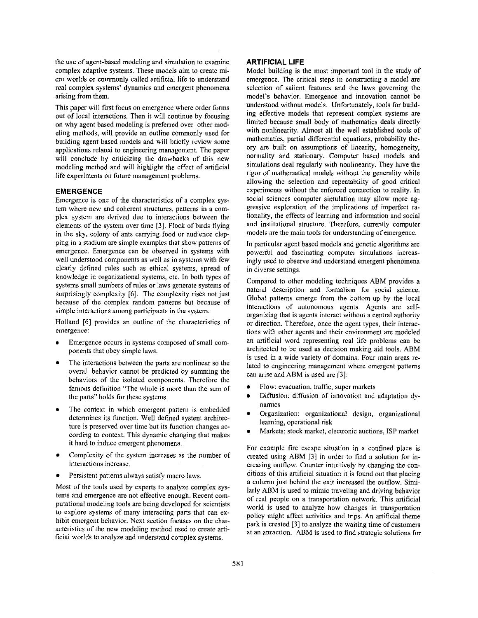the use of agent-based modeling and simulation to examine complex adaptive systems. These models aim to create micro worlds or commonly called artificial life to understand real complex systems' dynamics and emergent phenomena arising from them.

This paper will first focus on emergence where order forms out of local interactions. Then it will continue by focusing on why agent based modeling is preferred over other modeling methods, will provide an outline commonly used for building agent based models and will briefly review some applications related to engineering management. The paper will conclude by criticizing the drawbacks of this new modeling method and will highlight the effect of artificial life experiments on future management problems.

#### **EMERGENCE**

Emergence is one of the characteristics of a complex system where new and coherent structures, patterns in a complex system are derived due to interactions between the elements of the system over time **[3].** Flock of birds flying in the sky, colony of ants carrying food or audience clapping in a stadium are simplc examples that show patterns of emergence. Emergence can be observed in systems with well understood components as well as in systems with few clearly defined rules such as ethical systems, spread of knowledge in organizational systems, etc. In both types of systems small numbers of rules or laws generate systems of surprisingly complexity **[6].** The complexity rises not just because of the complex random patterns but because of simple interactions among participants in the system.

Holland **[6]** provides an outline of the characteristics of emergence:

- Emergence occurs in systems composed of small components that obey simple laws.
- The interactions between the parts are nonlinear so the overall behavior cannot be predicted by summing the behaviors of the isolated components. Therefore the famous definition "The whole is more than the sum of the parts'' holds for thcse systems.
- The context in which emergent pattern is embedded determines its function. Well defined system architecture is preserved over time but its function changes according to context. This dynamic changing that makes it hard to induce emergent phenomena. *0*
- Complexity of the system increases as the number of interactions increase.
- Persistent patterns always satisfy macro laws.

Most of the tools used by experts to analyze complex systems and emergence are not effective enough. Recent computational modeling tools are being developed for scientists to explore systems of many interacting parts that can exhibit emergent behavior. Next section focuses on the characteristics of the new modeling method used to create artificial worlds to analyze and understand complex systems.

#### **ARTIFICIAL LIFE**

Model building *is* the most important tool in the study of emergence. The critical steps in constructing a model are selection of salient features and the laws governing the model's behavior. Emergence and innovation cannot be understood without models. Unfortunately, tools for building effective models that represent complex systems are limited because small body of mathematics deals directly with nonlinearity. Almost all the well established tools of mathematics, partial differential equations, probability theory are built on assumptions of linearity, homogeneity, normality and stationary. Computer based models and simulations deal regularly with nonlinearity. They have the rigor of mathematical models without the generality while allowing the selection and repeatability of good critical experiments without the enforced connection to reality. In social sciences computer simulation may allow more aggressive exploration of the implications of imperfect rationality, the effects of learning and information and social and institutional structure. Therefore, currently computer models are the main tools for understanding of emergence.

In particular agent based models and genetic algorithms are powerful and fascinating computer simulations increasingly used to observe and understand emergent phenomena in diverse settings.

Compared to other modeling techniques ABM provides a natural description and formalism for social science. Global patterns emerge from the bottom-up by the local interactions of autonomous agents. Agents are selforganizing that is agents interact without a central authority or direction. Therefore, once the agent types, their interactions with other agents and their environment are modeled an artificial word representing real life problems can be architected to be used as decision making aid tools. ABM **is** used in a wide variety of domains. Four main areas related to engineering management where emergent patterns can arise and ABM is used are **[3]:** 

- Flow: evacuation, traffic, super markets
- Diffusion: diffusion of innovation and adaptation dynamics
- Organization: organizational design, organizational learning, operational risk
- Markets: stock market, electronic auctions, ISP market

For example fire escape situation in a confined place is created using ABM **[3]** in order to find a solution for increasing outflow. Counter intuitively by changing the conditions of this artificial situation it is found out that placing a column just behind the exit increased the outflow. Similarly ABM is used to mimic traveling and driving behavior of real people on a transportation network. This artificial world is used to analyze how changes in transportation policy might affect activities and trips. An artificial theme park is created **[3]** to analyze the waiting time of customers at an attraction. ABM is used to find strategic solutions for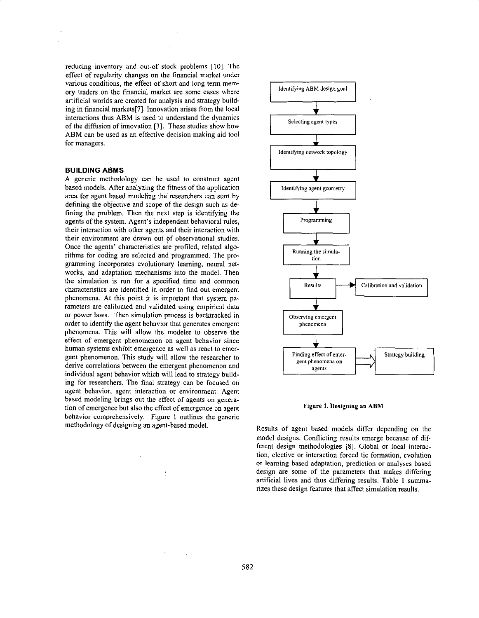reducing inventory and out-of stock problems [IO]. The effect of regularity changes on the financial market under various conditions, the effect of short and long term memory traders on the financial market are some cases where artificial worlds are created for analysis and strategy building in financial markets[7]. Innovation arises from the local interactions thus ABM **is** used to understand the dynamics of the diffusion of innovation **[3].** These studies show how ABM can be used as an effective decision making aid tool for managers.

#### **BUILDING ABMS**

**A** generic methodology can be used to construct agent based models. After analyzing the fitness of the application area for agent based modeling the researchers can start by defining the objective and scope of the design such **as** defining the problem. Then the next step is identifying the agents of the system. Agent's independent behavioral rules, their interaction with other agents and their interaction with their environment are drawn out of observational studies. Once the agents' characteristics are profiled, related algorithms for coding are selected and programmed. The programming incorporates evolutionary leaming, neural networks, and adaptation mechanisms into the model. Then the simulation **is** run for a specified time and common characteristics are identified in order to find out emergent phenomena. At this point it is important that system parameters are calibrated and validated using empirical data or power laws. Then simulation process **is** backtracked in order to identify the agent behavior that generates emergent phenomena. This will allow the modeler to observe the effect of emergent phenomenon on agent behavior since human systems exhibit emergence as well as react to emergent phenomenon. This study will allow the researcher to derive correlations between the emergent phenomenon and individual agent behavior which will lead to strategy building for researchers. The final strategy can be focused on agent behavior, agent interaction or environment. Agent based modeling brings out the effect of agents on generation of emergence but also the effect of emergence on agent behavior comprehensively. Figure 1 outlines the generic methodology of designing an agent-based model.





Results of agent based models differ depending on the model designs. Conflicting results emerge because of different design methodologies **[8].** Global or local interaction, elective or interaction forced tie formation, evolution or leaming based adaptation, prediction or analyses based design are some of the parameters that makes differing artificial lives and thus differing results. [Table](#page-4-0) 1 summarizes these design features that affect simulation results.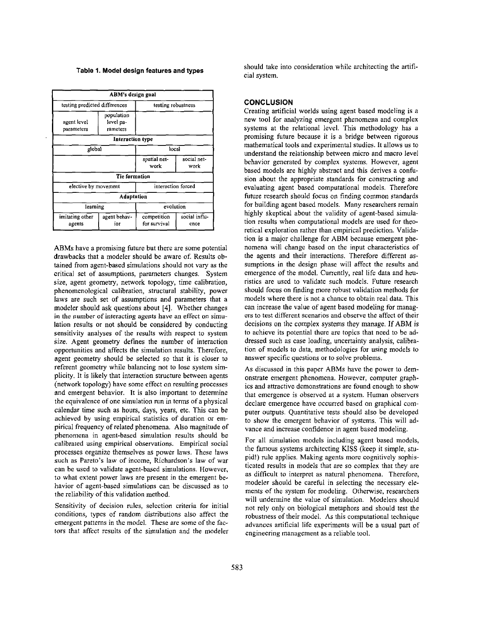#### <span id="page-4-0"></span>**Table 1. Model design features and types**

|                               | ABM's design goal                   |                             |                       |
|-------------------------------|-------------------------------------|-----------------------------|-----------------------|
| testing predicted differences |                                     | testing robustness          |                       |
| agent level<br>parameters     | population<br>level pa-<br>rameters |                             |                       |
|                               | Interaction type                    |                             |                       |
| global                        |                                     | local                       |                       |
|                               |                                     | spatial net-<br>work        | social net-<br>work   |
|                               | <b>Tie formation</b>                |                             |                       |
| elective by movement          |                                     | interaction forced          |                       |
|                               | <b>Adaptation</b>                   |                             |                       |
| learning                      |                                     | evolution                   |                       |
| imitating other<br>agents     | agent behav-<br>ior                 | competition<br>for survival | social influ-<br>ence |

ABMs have a promising future but there are some potential drawbacks that a modeler should be aware of. Results obtained from agent-based simulations should not vary as the critical set of assumptions, parameters changes. System size, agent geometry, network topology, time calibration, phenomenological calibration, structural stability, power laws are such set of assumptions and parameters that a modeler should ask questions about [4]. Whether changes in the number of interacting agents have an effect on simulation results or not should be considered by conducting sensitivity analyses of the results with respect to system size. Agent geometry defines the number of interaction opportunities and affects the simulation results. Therefore, agent geometry should be selected so that it is closer to referent geometry while balancing not to lose system simplicity. It is likely that interaction structure between agents (network topology) have some effect on resulting processes and emergent behavior. It is also important to determine the equivalence of one simulation run in terms of a physical calendar time such as hours, days, years, etc. This can be achieved by using empirical statistics of duration or empirical frequency of related phenomena. **Also** magnitude of phenomena in agent-based simulation results should be calibrated using empirical observations. Empirical social processes organize themselves as power laws. These laws such as Pareto's law of income, Richardson's law of war can be used to validate agent-based simulations. However, to what extent power laws are present in the emergent behavior of agent-based simulations can he discussed **as** to the reliability of this validation method.

Sensitivity of decision rules, selection criteria for initial conditions, types of random distributions **also** affect the emergent pattems in the model. These are some of the factors that affect results of the simulation and the modeler should take into consideration while architecting the artificial system.

#### **CONCLUSION**

Creating artificial worlds using agent based modeling is a new tool for analyzing emergent phenomena and complex systems at the relational level. This methodology has a promising future because it is a bridge between rigorous mathematical tools and experimental studies. It allows us to understand the relationship between micro and macro level behavior generated by complex systems. However, agent based models are highly abstract and this derives a confusion about the appropriate standards for constructing and evaluating agent based computational models. Therefore future research should focus on finding common standards for building agent based models. Many researchers remain highly skeptical about the validity of agent-based simulation results when computational models are used for theoretical exploration rather than empirical prediction. Validation is a major challenge for ABM because emergent phenomena will change based on the input characteristics of the agents and their interactions. Therefore different assumptions in the design phase will affect the results and emergence of the model. Currently, real life data and heuristics are used to validate such models. Future research should focus on finding more robust validation methods for models where there is not a chance to obtain real data. This can increase the value of agent based modeling for managers to test different scenarios and observe the affect of their decisions on the complex systems they manage. If ABM is to achieve its potential there are topics that need to be addressed such **as** case loading, uncertainty analysis, calibration of models to data, methodologies for using models to answer specific questions or to solve problems.

As discussed in this paper ABMs have the power to demonstrate emergent phenomena. However, computer graphics and attractive demonstrations are found enough to show that emergence is observed at a system. Human observers declare emergence have occurred based on graphical computer outputs. Quantitative tests should also be developed to show the emergent behavior of systems. This will advance and increase confidence in agent based modeling.

For all simulation models including agent based models, the famous systems architecting **KISS** (keep it simple, stupid!) rule applies. Making agents more cognitively sophisticated results in models that are so complex that they are as difficult to interpret as natural phenomena. Therefore, modeler should he careful in selecting the necessary elements of the system for modeling. Otherwise, researchers will undermine the value of simulation. Modelers should not rely only on biological metaphors and should test the robustness of their model. As this computational technique advances artificial life experiments will be a usual part of engineering management as a reliable tool.